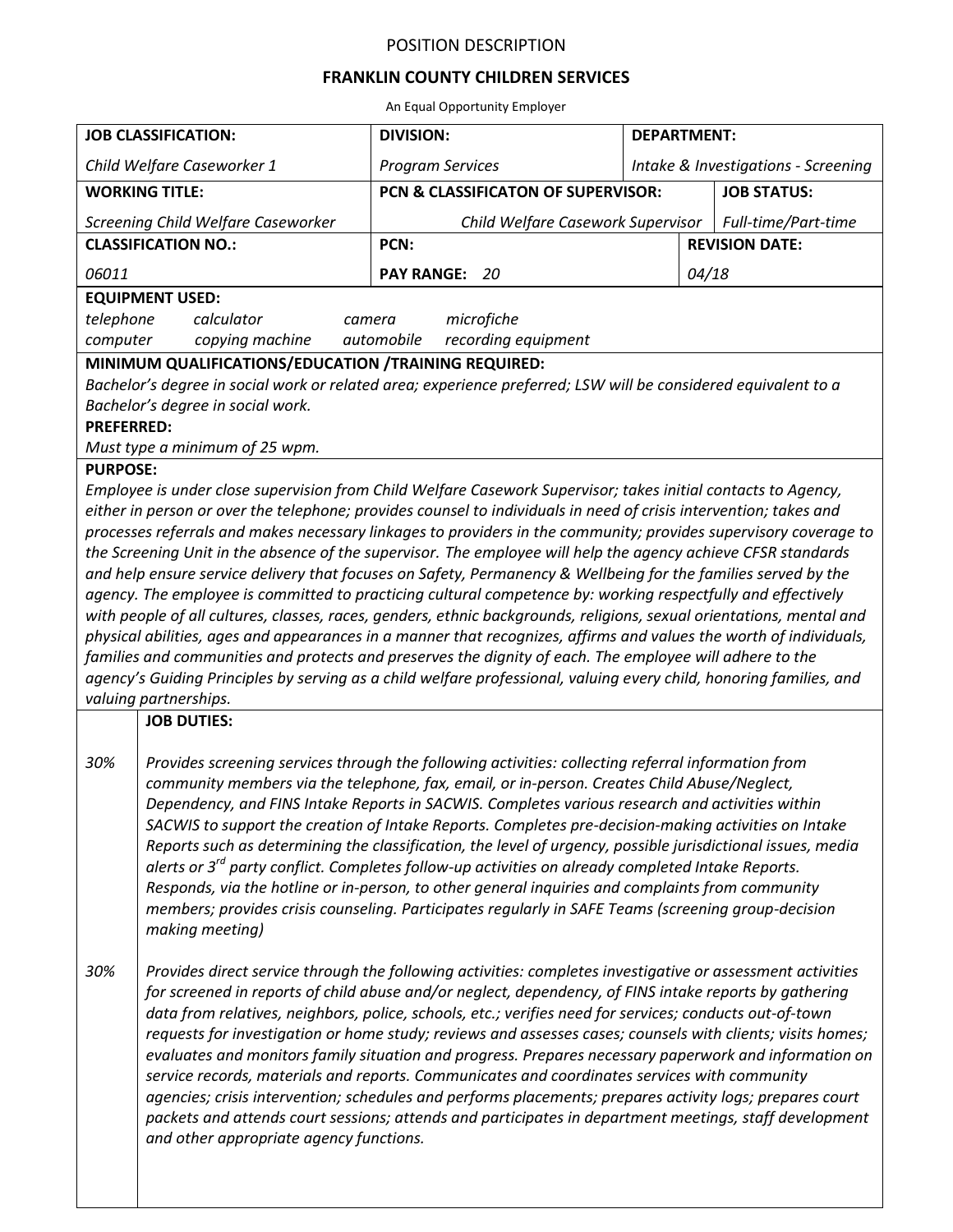## POSITION DESCRIPTION

## **FRANKLIN COUNTY CHILDREN SERVICES**

An Equal Opportunity Employer

| <b>JOB CLASSIFICATION:</b>                                                                                                                                                                                                                                                                                                                                                                                                                                                                                                                                                                                                                                                                                                                                                                                                                                                                                                                                                                                                                                                                                                                                                                                          |                                                                                                                                                                                                                                                                                                                                                                                                                                                                                                                                                                                                                                                                                                                                                                                                                                                                                                                         | <b>DIVISION:</b>                   | <b>DEPARTMENT:</b>                  |                     |  |
|---------------------------------------------------------------------------------------------------------------------------------------------------------------------------------------------------------------------------------------------------------------------------------------------------------------------------------------------------------------------------------------------------------------------------------------------------------------------------------------------------------------------------------------------------------------------------------------------------------------------------------------------------------------------------------------------------------------------------------------------------------------------------------------------------------------------------------------------------------------------------------------------------------------------------------------------------------------------------------------------------------------------------------------------------------------------------------------------------------------------------------------------------------------------------------------------------------------------|-------------------------------------------------------------------------------------------------------------------------------------------------------------------------------------------------------------------------------------------------------------------------------------------------------------------------------------------------------------------------------------------------------------------------------------------------------------------------------------------------------------------------------------------------------------------------------------------------------------------------------------------------------------------------------------------------------------------------------------------------------------------------------------------------------------------------------------------------------------------------------------------------------------------------|------------------------------------|-------------------------------------|---------------------|--|
| Child Welfare Caseworker 1                                                                                                                                                                                                                                                                                                                                                                                                                                                                                                                                                                                                                                                                                                                                                                                                                                                                                                                                                                                                                                                                                                                                                                                          |                                                                                                                                                                                                                                                                                                                                                                                                                                                                                                                                                                                                                                                                                                                                                                                                                                                                                                                         | <b>Program Services</b>            | Intake & Investigations - Screening |                     |  |
| <b>WORKING TITLE:</b>                                                                                                                                                                                                                                                                                                                                                                                                                                                                                                                                                                                                                                                                                                                                                                                                                                                                                                                                                                                                                                                                                                                                                                                               |                                                                                                                                                                                                                                                                                                                                                                                                                                                                                                                                                                                                                                                                                                                                                                                                                                                                                                                         | PCN & CLASSIFICATON OF SUPERVISOR: |                                     | <b>JOB STATUS:</b>  |  |
| Screening Child Welfare Caseworker                                                                                                                                                                                                                                                                                                                                                                                                                                                                                                                                                                                                                                                                                                                                                                                                                                                                                                                                                                                                                                                                                                                                                                                  |                                                                                                                                                                                                                                                                                                                                                                                                                                                                                                                                                                                                                                                                                                                                                                                                                                                                                                                         | Child Welfare Casework Supervisor  |                                     | Full-time/Part-time |  |
| <b>CLASSIFICATION NO.:</b>                                                                                                                                                                                                                                                                                                                                                                                                                                                                                                                                                                                                                                                                                                                                                                                                                                                                                                                                                                                                                                                                                                                                                                                          |                                                                                                                                                                                                                                                                                                                                                                                                                                                                                                                                                                                                                                                                                                                                                                                                                                                                                                                         | PCN:<br><b>REVISION DATE:</b>      |                                     |                     |  |
| 06011                                                                                                                                                                                                                                                                                                                                                                                                                                                                                                                                                                                                                                                                                                                                                                                                                                                                                                                                                                                                                                                                                                                                                                                                               |                                                                                                                                                                                                                                                                                                                                                                                                                                                                                                                                                                                                                                                                                                                                                                                                                                                                                                                         | PAY RANGE: 20                      | 04/18                               |                     |  |
| <b>EQUIPMENT USED:</b>                                                                                                                                                                                                                                                                                                                                                                                                                                                                                                                                                                                                                                                                                                                                                                                                                                                                                                                                                                                                                                                                                                                                                                                              |                                                                                                                                                                                                                                                                                                                                                                                                                                                                                                                                                                                                                                                                                                                                                                                                                                                                                                                         |                                    |                                     |                     |  |
| telephone<br>microfiche<br>calculator<br>camera<br>automobile                                                                                                                                                                                                                                                                                                                                                                                                                                                                                                                                                                                                                                                                                                                                                                                                                                                                                                                                                                                                                                                                                                                                                       |                                                                                                                                                                                                                                                                                                                                                                                                                                                                                                                                                                                                                                                                                                                                                                                                                                                                                                                         |                                    |                                     |                     |  |
| copying machine<br>recording equipment<br>computer<br>MINIMUM QUALIFICATIONS/EDUCATION /TRAINING REQUIRED:                                                                                                                                                                                                                                                                                                                                                                                                                                                                                                                                                                                                                                                                                                                                                                                                                                                                                                                                                                                                                                                                                                          |                                                                                                                                                                                                                                                                                                                                                                                                                                                                                                                                                                                                                                                                                                                                                                                                                                                                                                                         |                                    |                                     |                     |  |
| Bachelor's degree in social work or related area; experience preferred; LSW will be considered equivalent to a<br>Bachelor's degree in social work.<br><b>PREFERRED:</b><br>Must type a minimum of 25 wpm.                                                                                                                                                                                                                                                                                                                                                                                                                                                                                                                                                                                                                                                                                                                                                                                                                                                                                                                                                                                                          |                                                                                                                                                                                                                                                                                                                                                                                                                                                                                                                                                                                                                                                                                                                                                                                                                                                                                                                         |                                    |                                     |                     |  |
| <b>PURPOSE:</b>                                                                                                                                                                                                                                                                                                                                                                                                                                                                                                                                                                                                                                                                                                                                                                                                                                                                                                                                                                                                                                                                                                                                                                                                     |                                                                                                                                                                                                                                                                                                                                                                                                                                                                                                                                                                                                                                                                                                                                                                                                                                                                                                                         |                                    |                                     |                     |  |
| Employee is under close supervision from Child Welfare Casework Supervisor; takes initial contacts to Agency,<br>either in person or over the telephone; provides counsel to individuals in need of crisis intervention; takes and<br>processes referrals and makes necessary linkages to providers in the community; provides supervisory coverage to<br>the Screening Unit in the absence of the supervisor. The employee will help the agency achieve CFSR standards<br>and help ensure service delivery that focuses on Safety, Permanency & Wellbeing for the families served by the<br>agency. The employee is committed to practicing cultural competence by: working respectfully and effectively<br>with people of all cultures, classes, races, genders, ethnic backgrounds, religions, sexual orientations, mental and<br>physical abilities, ages and appearances in a manner that recognizes, affirms and values the worth of individuals,<br>families and communities and protects and preserves the dignity of each. The employee will adhere to the<br>agency's Guiding Principles by serving as a child welfare professional, valuing every child, honoring families, and<br>valuing partnerships. |                                                                                                                                                                                                                                                                                                                                                                                                                                                                                                                                                                                                                                                                                                                                                                                                                                                                                                                         |                                    |                                     |                     |  |
|                                                                                                                                                                                                                                                                                                                                                                                                                                                                                                                                                                                                                                                                                                                                                                                                                                                                                                                                                                                                                                                                                                                                                                                                                     | <b>JOB DUTIES:</b>                                                                                                                                                                                                                                                                                                                                                                                                                                                                                                                                                                                                                                                                                                                                                                                                                                                                                                      |                                    |                                     |                     |  |
| 30%                                                                                                                                                                                                                                                                                                                                                                                                                                                                                                                                                                                                                                                                                                                                                                                                                                                                                                                                                                                                                                                                                                                                                                                                                 | Provides screening services through the following activities: collecting referral information from<br>community members via the telephone, fax, email, or in-person. Creates Child Abuse/Neglect,<br>Dependency, and FINS Intake Reports in SACWIS. Completes various research and activities within<br>SACWIS to support the creation of Intake Reports. Completes pre-decision-making activities on Intake<br>Reports such as determining the classification, the level of urgency, possible jurisdictional issues, media<br>alerts or $3^{rd}$ party conflict. Completes follow-up activities on already completed Intake Reports.<br>Responds, via the hotline or in-person, to other general inquiries and complaints from community<br>members; provides crisis counseling. Participates regularly in SAFE Teams (screening group-decision<br>making meeting)                                                     |                                    |                                     |                     |  |
| 30%                                                                                                                                                                                                                                                                                                                                                                                                                                                                                                                                                                                                                                                                                                                                                                                                                                                                                                                                                                                                                                                                                                                                                                                                                 | Provides direct service through the following activities: completes investigative or assessment activities<br>for screened in reports of child abuse and/or neglect, dependency, of FINS intake reports by gathering<br>data from relatives, neighbors, police, schools, etc.; verifies need for services; conducts out-of-town<br>requests for investigation or home study; reviews and assesses cases; counsels with clients; visits homes;<br>evaluates and monitors family situation and progress. Prepares necessary paperwork and information on<br>service records, materials and reports. Communicates and coordinates services with community<br>agencies; crisis intervention; schedules and performs placements; prepares activity logs; prepares court<br>packets and attends court sessions; attends and participates in department meetings, staff development<br>and other appropriate agency functions. |                                    |                                     |                     |  |